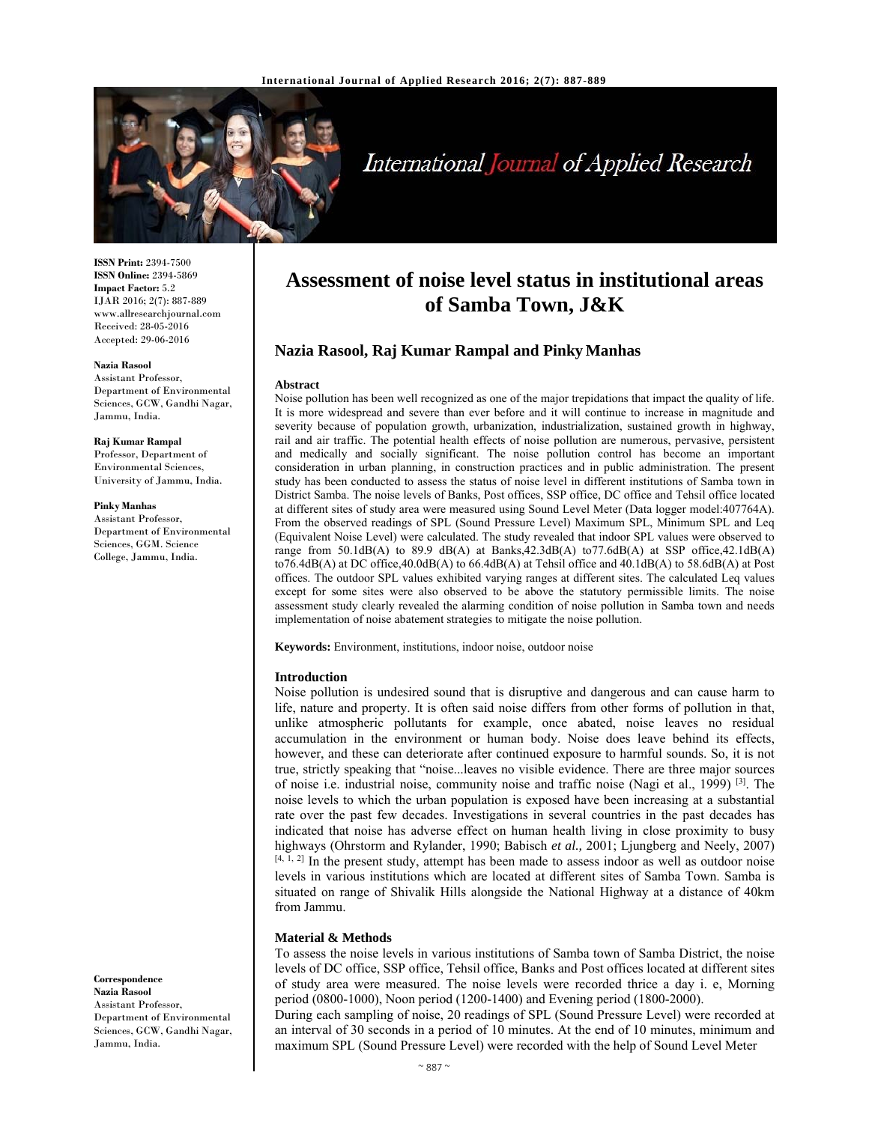

# International Journal of Applied Research

**ISSN Print:** 2394-7500 **ISSN Online:** 2394-5869 **Impact Factor:** 5.2 IJAR 2016; 2(7): 887-889 www.allresearchjournal.com Received: 28-05-2016 Accepted: 29-06-2016

#### **Nazia Rasool**

Assistant Professor, Department of Environmental Sciences, GCW, Gandhi Nagar, Jammu, India.

**Raj Kumar Rampal**  Professor, Department of Environmental Sciences, University of Jammu, India.

**Pinky Manhas**  Assistant Professor, Department of Environmental Sciences, GGM. Science College, Jammu, India.

# **Assessment of noise level status in institutional areas of Samba Town, J&K**

# **Nazia Rasool, Raj Kumar Rampal and Pinky Manhas**

#### **Abstract**

Noise pollution has been well recognized as one of the major trepidations that impact the quality of life. It is more widespread and severe than ever before and it will continue to increase in magnitude and severity because of population growth, urbanization, industrialization, sustained growth in highway, rail and air traffic. The potential health effects of noise pollution are numerous, pervasive, persistent and medically and socially significant. The noise pollution control has become an important consideration in urban planning, in construction practices and in public administration. The present study has been conducted to assess the status of noise level in different institutions of Samba town in District Samba. The noise levels of Banks, Post offices, SSP office, DC office and Tehsil office located at different sites of study area were measured using Sound Level Meter (Data logger model:407764A). From the observed readings of SPL (Sound Pressure Level) Maximum SPL, Minimum SPL and Leq (Equivalent Noise Level) were calculated. The study revealed that indoor SPL values were observed to range from  $50.1dB(A)$  to  $89.9 \text{ dB}(A)$  at Banks,  $42.3dB(A)$  to  $77.6dB(A)$  at SSP office,  $42.1dB(A)$ to76.4dB(A) at DC office,40.0dB(A) to 66.4dB(A) at Tehsil office and 40.1dB(A) to 58.6dB(A) at Post offices. The outdoor SPL values exhibited varying ranges at different sites. The calculated Leq values except for some sites were also observed to be above the statutory permissible limits. The noise assessment study clearly revealed the alarming condition of noise pollution in Samba town and needs implementation of noise abatement strategies to mitigate the noise pollution.

**Keywords:** Environment, institutions, indoor noise, outdoor noise

#### **Introduction**

Noise pollution is undesired sound that is disruptive and dangerous and can cause harm to life, nature and property. It is often said noise differs from other forms of pollution in that, unlike atmospheric pollutants for example, once abated, noise leaves no residual accumulation in the environment or human body. Noise does leave behind its effects, however, and these can deteriorate after continued exposure to harmful sounds. So, it is not true, strictly speaking that "noise...leaves no visible evidence. There are three major sources of noise i.e. industrial noise, community noise and traffic noise (Nagi et al., 1999)  $^{[3]}$ . The noise levels to which the urban population is exposed have been increasing at a substantial rate over the past few decades. Investigations in several countries in the past decades has indicated that noise has adverse effect on human health living in close proximity to busy highways (Ohrstorm and Rylander, 1990; Babisch *et al.,* 2001; Ljungberg and Neely, 2007)  $[4, 1, 2]$  In the present study, attempt has been made to assess indoor as well as outdoor noise levels in various institutions which are located at different sites of Samba Town. Samba is situated on range of Shivalik Hills alongside the National Highway at a distance of 40km from Jammu.

## **Material & Methods**

To assess the noise levels in various institutions of Samba town of Samba District, the noise levels of DC office, SSP office, Tehsil office, Banks and Post offices located at different sites of study area were measured. The noise levels were recorded thrice a day i. e, Morning period (0800-1000), Noon period (1200-1400) and Evening period (1800-2000). During each sampling of noise, 20 readings of SPL (Sound Pressure Level) were recorded at

an interval of 30 seconds in a period of 10 minutes. At the end of 10 minutes, minimum and maximum SPL (Sound Pressure Level) were recorded with the help of Sound Level Meter

#### **Correspondence Nazia Rasool**

Assistant Professor, Department of Environmental Sciences, GCW, Gandhi Nagar, Jammu, India.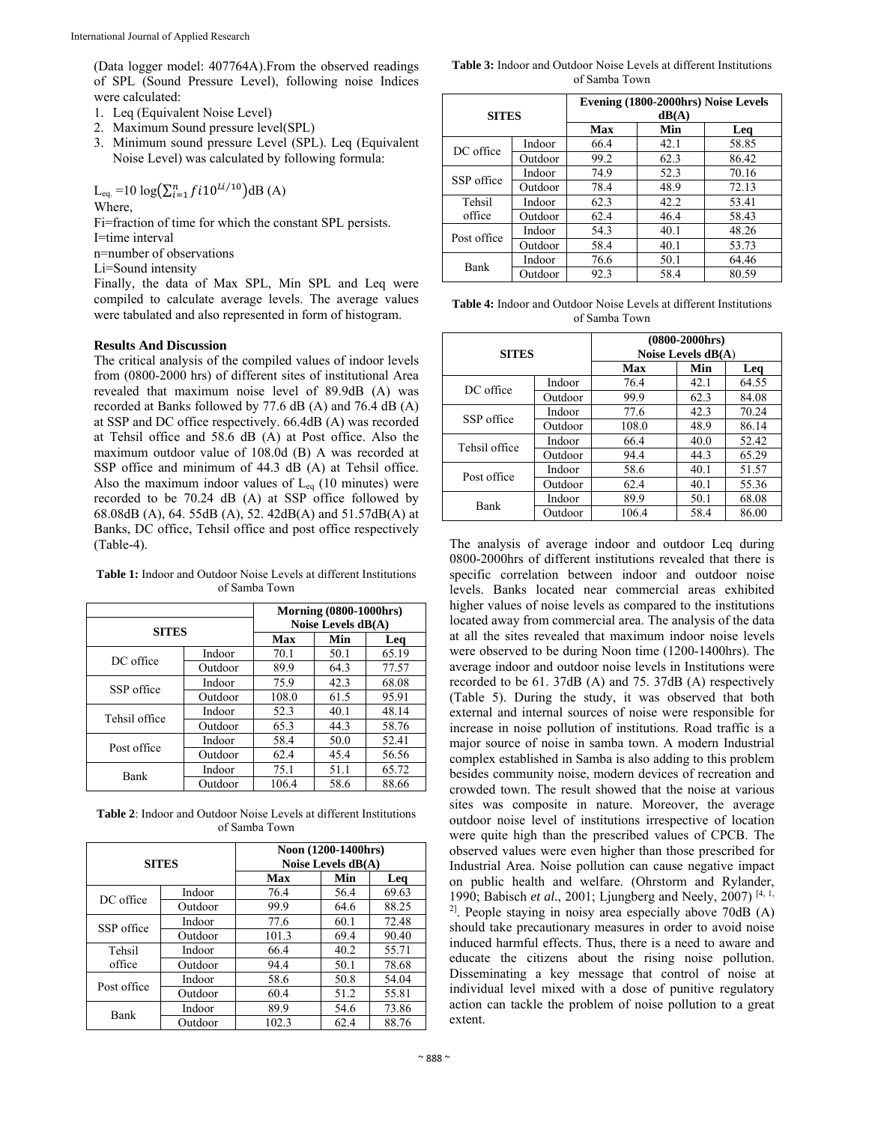(Data logger model: 407764A).From the observed readings of SPL (Sound Pressure Level), following noise Indices were calculated:

- 1. Leq (Equivalent Noise Level)
- 2. Maximum Sound pressure level(SPL)
- 3. Minimum sound pressure Level (SPL). Leq (Equivalent Noise Level) was calculated by following formula:

L<sub>eq.</sub> =10  $\log(\sum_{i=1}^{n} f i 10^{Li/10})$ dB (A) Where,

Fi=fraction of time for which the constant SPL persists.

I=time interval

n=number of observations

Li=Sound intensity

Finally, the data of Max SPL, Min SPL and Leq were compiled to calculate average levels. The average values were tabulated and also represented in form of histogram.

# **Results And Discussion**

The critical analysis of the compiled values of indoor levels from (0800-2000 hrs) of different sites of institutional Area revealed that maximum noise level of 89.9dB (A) was recorded at Banks followed by 77.6 dB (A) and 76.4 dB (A) at SSP and DC office respectively. 66.4dB (A) was recorded at Tehsil office and 58.6 dB (A) at Post office. Also the maximum outdoor value of 108.0d (B) A was recorded at SSP office and minimum of 44.3 dB (A) at Tehsil office. Also the maximum indoor values of  $L_{eq}$  (10 minutes) were recorded to be 70.24 dB (A) at SSP office followed by 68.08dB (A), 64. 55dB (A), 52. 42dB(A) and 51.57dB(A) at Banks, DC office, Tehsil office and post office respectively (Table-4).

**Table 1:** Indoor and Outdoor Noise Levels at different Institutions of Samba Town

| <b>SITES</b>  |         | <b>Morning (0800-1000hrs)</b><br>Noise Levels dB(A) |      |       |
|---------------|---------|-----------------------------------------------------|------|-------|
|               |         | Max                                                 | Min  | Leq   |
| DC office     | Indoor  | 70.1                                                | 50.1 | 65.19 |
|               | Outdoor | 89.9                                                | 64.3 | 77.57 |
| SSP office    | Indoor  | 75.9                                                | 42.3 | 68.08 |
|               | Outdoor | 108.0                                               | 61.5 | 95.91 |
|               | Indoor  | 52.3                                                | 40.1 | 48.14 |
| Tehsil office | Outdoor | 65.3                                                | 44.3 | 58.76 |
| Post office   | Indoor  | 58.4                                                | 50.0 | 52.41 |
|               | Outdoor | 62.4                                                | 45.4 | 56.56 |
| Bank          | Indoor  | 75.1                                                | 51.1 | 65.72 |
|               | Outdoor | 106.4                                               | 58.6 | 88.66 |

**Table 2**: Indoor and Outdoor Noise Levels at different Institutions of Samba Town

| <b>SITES</b> |         | Noon (1200-1400hrs)<br>Noise Levels $dB(A)$ |      |       |
|--------------|---------|---------------------------------------------|------|-------|
|              |         | Max                                         | Min  | Leq   |
| DC office    | Indoor  | 76.4                                        | 56.4 | 69.63 |
|              | Outdoor | 99.9                                        | 64.6 | 88.25 |
| SSP office   | Indoor  | 77.6                                        | 60.1 | 72.48 |
|              | Outdoor | 101.3                                       | 69.4 | 90.40 |
| Tehsil       | Indoor  | 66.4                                        | 40.2 | 55.71 |
| office       | Outdoor | 94.4                                        | 50.1 | 78.68 |
| Post office  | Indoor  | 58.6                                        | 50.8 | 54.04 |
|              | Outdoor | 60.4                                        | 51.2 | 55.81 |
| Bank         | Indoor  | 89.9                                        | 54.6 | 73.86 |
|              | Outdoor | 102.3                                       | 62.4 | 88.76 |

**Table 3:** Indoor and Outdoor Noise Levels at different Institutions of Samba Town

| <b>SITES</b> |         | Evening (1800-2000hrs) Noise Levels<br>dB(A) |      |       |  |
|--------------|---------|----------------------------------------------|------|-------|--|
|              |         | Max                                          | Min  | Lea   |  |
| DC office    | Indoor  | 66.4                                         | 42.1 | 58.85 |  |
|              | Outdoor | 99.2                                         | 62.3 | 86.42 |  |
| SSP office   | Indoor  | 74.9                                         | 52.3 | 70.16 |  |
|              | Outdoor | 78.4                                         | 48.9 | 72.13 |  |
| Tehsil       | Indoor  | 62.3                                         | 42.2 | 53.41 |  |
| office       | Outdoor | 62.4                                         | 46.4 | 58.43 |  |
| Post office  | Indoor  | 54.3                                         | 40.1 | 48.26 |  |
|              | Outdoor | 58.4                                         | 40.1 | 53.73 |  |
| Bank         | Indoor  | 76.6                                         | 50.1 | 64.46 |  |
|              | Outdoor | 92.3                                         | 58.4 | 80.59 |  |

**Table 4:** Indoor and Outdoor Noise Levels at different Institutions of Samba Town

| <b>SITES</b>  |         | $(0800 - 2000$ hrs)<br>Noise Levels dB(A) |      |       |
|---------------|---------|-------------------------------------------|------|-------|
|               |         | Max                                       | Min  | Leq   |
| DC office     | Indoor  | 76.4                                      | 42.1 | 64.55 |
|               | Outdoor | 99.9                                      | 62.3 | 84.08 |
| SSP office    | Indoor  | 77.6                                      | 42.3 | 70.24 |
|               | Outdoor | 108.0                                     | 48.9 | 86.14 |
| Tehsil office | Indoor  | 66.4                                      | 40.0 | 52.42 |
|               | Outdoor | 94.4                                      | 44.3 | 65.29 |
| Post office   | Indoor  | 58.6                                      | 40.1 | 51.57 |
|               | Outdoor | 62.4                                      | 40.1 | 55.36 |
| Bank          | Indoor  | 89.9                                      | 50.1 | 68.08 |
|               | Outdoor | 106.4                                     | 58.4 | 86.00 |

The analysis of average indoor and outdoor Leq during 0800-2000hrs of different institutions revealed that there is specific correlation between indoor and outdoor noise levels. Banks located near commercial areas exhibited higher values of noise levels as compared to the institutions located away from commercial area. The analysis of the data at all the sites revealed that maximum indoor noise levels were observed to be during Noon time (1200-1400hrs). The average indoor and outdoor noise levels in Institutions were recorded to be 61. 37dB (A) and 75. 37dB (A) respectively (Table 5). During the study, it was observed that both external and internal sources of noise were responsible for increase in noise pollution of institutions. Road traffic is a major source of noise in samba town. A modern Industrial complex established in Samba is also adding to this problem besides community noise, modern devices of recreation and crowded town. The result showed that the noise at various sites was composite in nature. Moreover, the average outdoor noise level of institutions irrespective of location were quite high than the prescribed values of CPCB. The observed values were even higher than those prescribed for Industrial Area. Noise pollution can cause negative impact on public health and welfare. (Ohrstorm and Rylander, 1990; Babisch *et al.*, 2001; Ljungberg and Neely, 2007) [4, 1, <sup>2]</sup>. People staying in noisy area especially above 70dB (A) should take precautionary measures in order to avoid noise induced harmful effects. Thus, there is a need to aware and educate the citizens about the rising noise pollution. Disseminating a key message that control of noise at individual level mixed with a dose of punitive regulatory action can tackle the problem of noise pollution to a great extent.